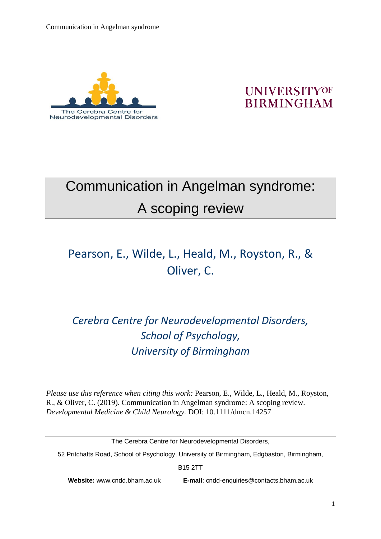

### **UNIVERSITYOF BIRMINGHAM**

# Communication in Angelman syndrome: A scoping review

# Pearson, E., Wilde, L., Heald, M., Royston, R., & Oliver, C.

## *Cerebra Centre for Neurodevelopmental Disorders, School of Psychology, University of Birmingham*

*Please use this reference when citing this work:* Pearson, E., Wilde, L., Heald, M., Royston, R., & Oliver, C. (2019). Communication in Angelman syndrome: A scoping review. *Developmental Medicine & Child Neurology.* DOI: 10.1111/dmcn.14257

52 Pritchatts Road, School of Psychology, University of Birmingham, Edgbaston, Birmingham,

B15 2TT

**Website:** www.cndd.bham.ac.uk **E-mail**: cndd-enquiries@contacts.bham.ac.uk

The Cerebra Centre for Neurodevelopmental Disorders,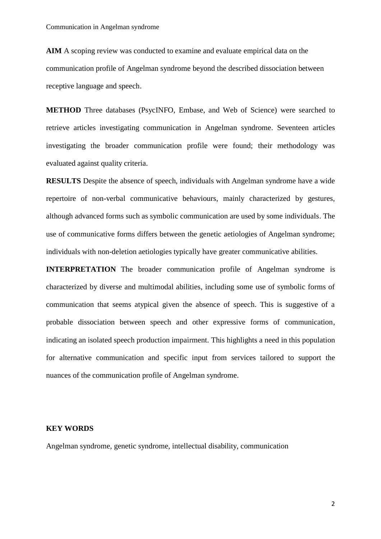**AIM** A scoping review was conducted to examine and evaluate empirical data on the communication profile of Angelman syndrome beyond the described dissociation between receptive language and speech.

**METHOD** Three databases (PsycINFO, Embase, and Web of Science) were searched to retrieve articles investigating communication in Angelman syndrome. Seventeen articles investigating the broader communication profile were found; their methodology was evaluated against quality criteria.

**RESULTS** Despite the absence of speech, individuals with Angelman syndrome have a wide repertoire of non-verbal communicative behaviours, mainly characterized by gestures, although advanced forms such as symbolic communication are used by some individuals. The use of communicative forms differs between the genetic aetiologies of Angelman syndrome; individuals with non-deletion aetiologies typically have greater communicative abilities.

**INTERPRETATION** The broader communication profile of Angelman syndrome is characterized by diverse and multimodal abilities, including some use of symbolic forms of communication that seems atypical given the absence of speech. This is suggestive of a probable dissociation between speech and other expressive forms of communication, indicating an isolated speech production impairment. This highlights a need in this population for alternative communication and specific input from services tailored to support the nuances of the communication profile of Angelman syndrome.

#### **KEY WORDS**

Angelman syndrome, genetic syndrome, intellectual disability, communication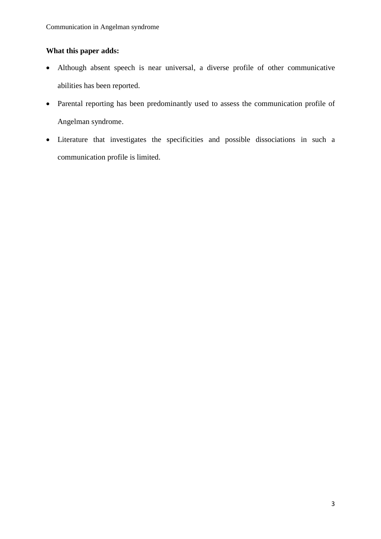#### **What this paper adds:**

- Although absent speech is near universal, a diverse profile of other communicative abilities has been reported.
- Parental reporting has been predominantly used to assess the communication profile of Angelman syndrome.
- Literature that investigates the specificities and possible dissociations in such a communication profile is limited.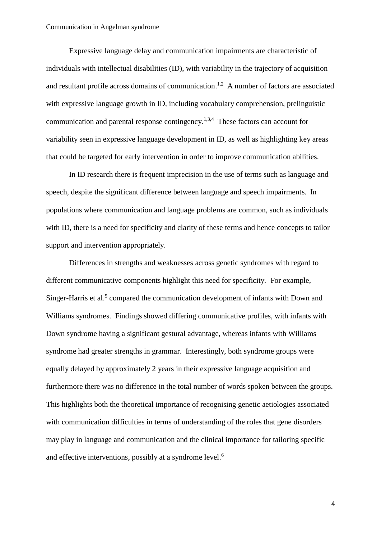Expressive language delay and communication impairments are characteristic of individuals with intellectual disabilities (ID), with variability in the trajectory of acquisition and resultant profile across domains of communication.<sup>1,2</sup> A number of factors are associated with expressive language growth in ID, including vocabulary comprehension, prelinguistic communication and parental response contingency.<sup>1,3,4</sup> These factors can account for variability seen in expressive language development in ID, as well as highlighting key areas that could be targeted for early intervention in order to improve communication abilities.

In ID research there is frequent imprecision in the use of terms such as language and speech, despite the significant difference between language and speech impairments. In populations where communication and language problems are common, such as individuals with ID, there is a need for specificity and clarity of these terms and hence concepts to tailor support and intervention appropriately.

Differences in strengths and weaknesses across genetic syndromes with regard to different communicative components highlight this need for specificity. For example, Singer-Harris et al.<sup>5</sup> compared the communication development of infants with Down and Williams syndromes. Findings showed differing communicative profiles, with infants with Down syndrome having a significant gestural advantage, whereas infants with Williams syndrome had greater strengths in grammar. Interestingly, both syndrome groups were equally delayed by approximately 2 years in their expressive language acquisition and furthermore there was no difference in the total number of words spoken between the groups. This highlights both the theoretical importance of recognising genetic aetiologies associated with communication difficulties in terms of understanding of the roles that gene disorders may play in language and communication and the clinical importance for tailoring specific and effective interventions, possibly at a syndrome level.<sup>6</sup>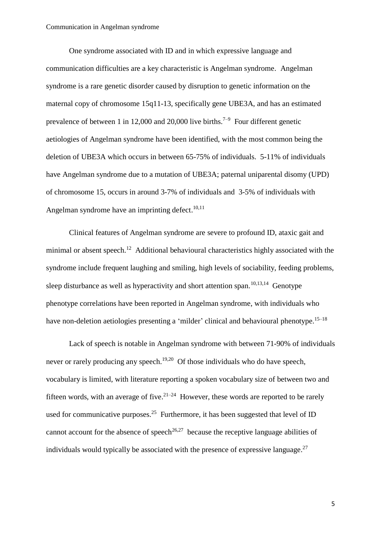One syndrome associated with ID and in which expressive language and communication difficulties are a key characteristic is Angelman syndrome. Angelman syndrome is a rare genetic disorder caused by disruption to genetic information on the maternal copy of chromosome 15q11-13, specifically gene UBE3A, and has an estimated prevalence of between 1 in 12,000 and 20,000 live births.<sup>7-9</sup> Four different genetic aetiologies of Angelman syndrome have been identified, with the most common being the deletion of UBE3A which occurs in between 65-75% of individuals. 5-11% of individuals have Angelman syndrome due to a mutation of UBE3A; paternal uniparental disomy (UPD) of chromosome 15, occurs in around 3-7% of individuals and 3-5% of individuals with Angelman syndrome have an imprinting defect.<sup>10,11</sup>

Clinical features of Angelman syndrome are severe to profound ID, ataxic gait and minimal or absent speech.<sup>12</sup> Additional behavioural characteristics highly associated with the syndrome include frequent laughing and smiling, high levels of sociability, feeding problems, sleep disturbance as well as hyperactivity and short attention span.<sup>10,13,14</sup> Genotype phenotype correlations have been reported in Angelman syndrome, with individuals who have non-deletion aetiologies presenting a 'milder' clinical and behavioural phenotype.<sup>15–18</sup>

Lack of speech is notable in Angelman syndrome with between 71-90% of individuals never or rarely producing any speech.<sup>19,20</sup> Of those individuals who do have speech, vocabulary is limited, with literature reporting a spoken vocabulary size of between two and fifteen words, with an average of five. $2^{1-24}$  However, these words are reported to be rarely used for communicative purposes.<sup>25</sup> Furthermore, it has been suggested that level of ID cannot account for the absence of speech<sup>26,27</sup> because the receptive language abilities of individuals would typically be associated with the presence of expressive language. $27$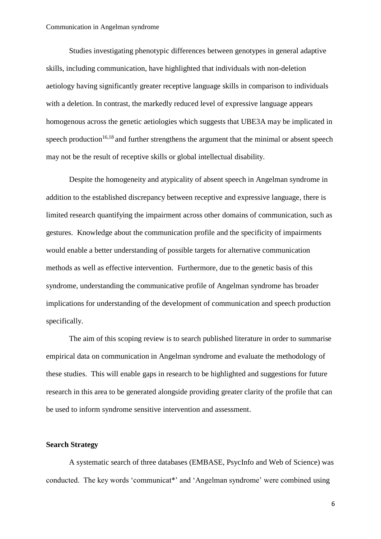Studies investigating phenotypic differences between genotypes in general adaptive skills, including communication, have highlighted that individuals with non-deletion aetiology having significantly greater receptive language skills in comparison to individuals with a deletion. In contrast, the markedly reduced level of expressive language appears homogenous across the genetic aetiologies which suggests that UBE3A may be implicated in speech production<sup>16,18</sup> and further strengthens the argument that the minimal or absent speech may not be the result of receptive skills or global intellectual disability.

Despite the homogeneity and atypicality of absent speech in Angelman syndrome in addition to the established discrepancy between receptive and expressive language, there is limited research quantifying the impairment across other domains of communication, such as gestures. Knowledge about the communication profile and the specificity of impairments would enable a better understanding of possible targets for alternative communication methods as well as effective intervention. Furthermore, due to the genetic basis of this syndrome, understanding the communicative profile of Angelman syndrome has broader implications for understanding of the development of communication and speech production specifically.

The aim of this scoping review is to search published literature in order to summarise empirical data on communication in Angelman syndrome and evaluate the methodology of these studies. This will enable gaps in research to be highlighted and suggestions for future research in this area to be generated alongside providing greater clarity of the profile that can be used to inform syndrome sensitive intervention and assessment.

#### **Search Strategy**

A systematic search of three databases (EMBASE, PsycInfo and Web of Science) was conducted. The key words 'communicat\*' and 'Angelman syndrome' were combined using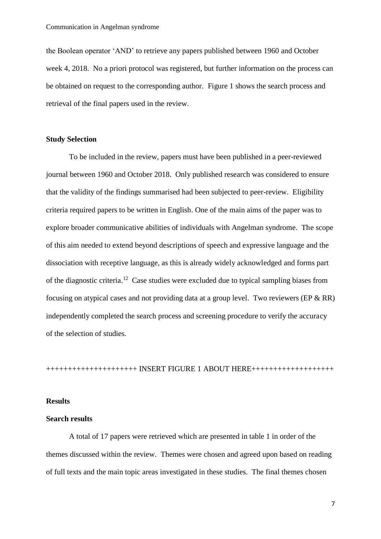the Boolean operator 'AND' to retrieve any papers published between 1960 and October week 4, 2018. No a priori protocol was registered, but further information on the process can be obtained on request to the corresponding author. Figure 1 shows the search process and retrieval of the final papers used in the review.

#### **Study Selection**

To be included in the review, papers must have been published in a peer-reviewed journal between 1960 and October 2018. Only published research was considered to ensure that the validity of the findings summarised had been subjected to peer-review. Eligibility criteria required papers to be written in English. One of the main aims of the paper was to explore broader communicative abilities of individuals with Angelman syndrome. The scope of this aim needed to extend beyond descriptions of speech and expressive language and the dissociation with receptive language, as this is already widely acknowledged and forms part of the diagnostic criteria.<sup>12</sup> Case studies were excluded due to typical sampling biases from focusing on atypical cases and not providing data at a group level. Two reviewers (EP & RR) independently completed the search process and screening procedure to verify the accuracy of the selection of studies.

+++++++++++++++++++++ INSERT FIGURE 1 ABOUT HERE+++++++++++++++++++

#### **Results**

#### **Search results**

A total of 17 papers were retrieved which are presented in table 1 in order of the themes discussed within the review. Themes were chosen and agreed upon based on reading of full texts and the main topic areas investigated in these studies. The final themes chosen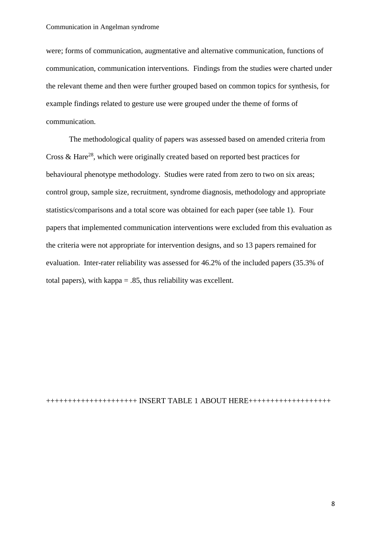were; forms of communication, augmentative and alternative communication, functions of communication, communication interventions. Findings from the studies were charted under the relevant theme and then were further grouped based on common topics for synthesis, for example findings related to gesture use were grouped under the theme of forms of communication.

The methodological quality of papers was assessed based on amended criteria from Cross  $\&$  Hare<sup>28</sup>, which were originally created based on reported best practices for behavioural phenotype methodology. Studies were rated from zero to two on six areas; control group, sample size, recruitment, syndrome diagnosis, methodology and appropriate statistics/comparisons and a total score was obtained for each paper (see table 1). Four papers that implemented communication interventions were excluded from this evaluation as the criteria were not appropriate for intervention designs, and so 13 papers remained for evaluation. Inter-rater reliability was assessed for 46.2% of the included papers (35.3% of total papers), with kappa = .85, thus reliability was excellent.

+++++++++++++++++++++ INSERT TABLE 1 ABOUT HERE+++++++++++++++++++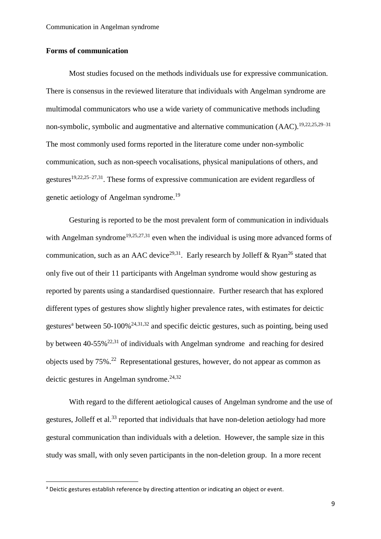#### **Forms of communication**

Most studies focused on the methods individuals use for expressive communication. There is consensus in the reviewed literature that individuals with Angelman syndrome are multimodal communicators who use a wide variety of communicative methods including non-symbolic, symbolic and augmentative and alternative communication (AAC).<sup>19,22,25,29–31</sup> The most commonly used forms reported in the literature come under non-symbolic communication, such as non-speech vocalisations, physical manipulations of others, and gestures<sup>19,22,25–27,31</sup>. These forms of expressive communication are evident regardless of genetic aetiology of Angelman syndrome.<sup>19</sup>

Gesturing is reported to be the most prevalent form of communication in individuals with Angelman syndrome<sup>19,25,27,31</sup> even when the individual is using more advanced forms of communication, such as an AAC device<sup>29,31</sup>. Early research by Jolleff & Ryan<sup>26</sup> stated that only five out of their 11 participants with Angelman syndrome would show gesturing as reported by parents using a standardised questionnaire. Further research that has explored different types of gestures show slightly higher prevalence rates, with estimates for deictic gestures<sup>a</sup> between 50-100%<sup>24,31,32</sup> and specific deictic gestures, such as pointing, being used by between  $40-55\%^{22,31}$  of individuals with Angelman syndrome and reaching for desired objects used by 75%. <sup>22</sup> Representational gestures, however, do not appear as common as deictic gestures in Angelman syndrome. 24,32

With regard to the different aetiological causes of Angelman syndrome and the use of gestures, Jolleff et al.<sup>33</sup> reported that individuals that have non-deletion aetiology had more gestural communication than individuals with a deletion. However, the sample size in this study was small, with only seven participants in the non-deletion group. In a more recent

<sup>&</sup>lt;sup>a</sup> Deictic gestures establish reference by directing attention or indicating an object or event.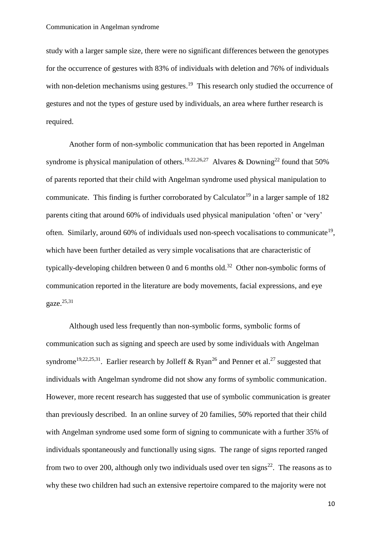study with a larger sample size, there were no significant differences between the genotypes for the occurrence of gestures with 83% of individuals with deletion and 76% of individuals with non-deletion mechanisms using gestures.<sup>19</sup> This research only studied the occurrence of gestures and not the types of gesture used by individuals, an area where further research is required.

Another form of non-symbolic communication that has been reported in Angelman syndrome is physical manipulation of others.<sup>19,22,26,27</sup> Alvares & Downing<sup>22</sup> found that 50% of parents reported that their child with Angelman syndrome used physical manipulation to communicate. This finding is further corroborated by Calculator<sup>19</sup> in a larger sample of 182 parents citing that around 60% of individuals used physical manipulation 'often' or 'very' often. Similarly, around 60% of individuals used non-speech vocalisations to communicate<sup>19</sup>, which have been further detailed as very simple vocalisations that are characteristic of typically-developing children between 0 and 6 months old.<sup>32</sup> Other non-symbolic forms of communication reported in the literature are body movements, facial expressions, and eye gaze. 25,31

Although used less frequently than non-symbolic forms, symbolic forms of communication such as signing and speech are used by some individuals with Angelman syndrome<sup>19,22,25,31</sup>. Earlier research by Jolleff & Ryan<sup>26</sup> and Penner et al.<sup>27</sup> suggested that individuals with Angelman syndrome did not show any forms of symbolic communication. However, more recent research has suggested that use of symbolic communication is greater than previously described. In an online survey of 20 families, 50% reported that their child with Angelman syndrome used some form of signing to communicate with a further 35% of individuals spontaneously and functionally using signs. The range of signs reported ranged from two to over 200, although only two individuals used over ten signs<sup>22</sup>. The reasons as to why these two children had such an extensive repertoire compared to the majority were not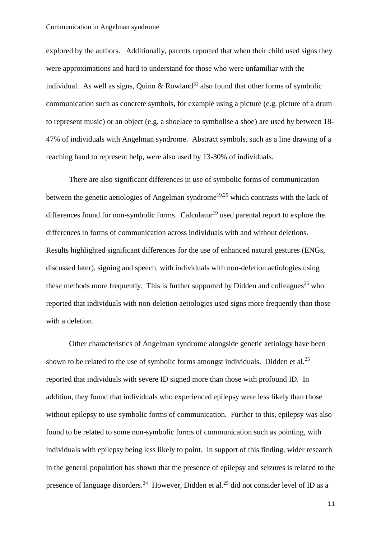explored by the authors. Additionally, parents reported that when their child used signs they were approximations and hard to understand for those who were unfamiliar with the individual. As well as signs, Quinn & Rowland<sup>31</sup> also found that other forms of symbolic communication such as concrete symbols, for example using a picture (e.g. picture of a drum to represent music) or an object (e.g. a shoelace to symbolise a shoe) are used by between 18- 47% of individuals with Angelman syndrome. Abstract symbols, such as a line drawing of a reaching hand to represent help, were also used by 13-30% of individuals.

There are also significant differences in use of symbolic forms of communication between the genetic aetiologies of Angelman syndrome<sup>19,25</sup> which contrasts with the lack of differences found for non-symbolic forms. Calculator<sup>19</sup> used parental report to explore the differences in forms of communication across individuals with and without deletions. Results highlighted significant differences for the use of enhanced natural gestures (ENGs, discussed later), signing and speech, with individuals with non-deletion aetiologies using these methods more frequently. This is further supported by Didden and colleagues<sup>25</sup> who reported that individuals with non-deletion aetiologies used signs more frequently than those with a deletion.

Other characteristics of Angelman syndrome alongside genetic aetiology have been shown to be related to the use of symbolic forms amongst individuals. Didden et al.<sup>25</sup> reported that individuals with severe ID signed more than those with profound ID. In addition, they found that individuals who experienced epilepsy were less likely than those without epilepsy to use symbolic forms of communication. Further to this, epilepsy was also found to be related to some non-symbolic forms of communication such as pointing, with individuals with epilepsy being less likely to point. In support of this finding, wider research in the general population has shown that the presence of epilepsy and seizures is related to the presence of language disorders.<sup>34</sup> However, Didden et al.<sup>25</sup> did not consider level of ID as a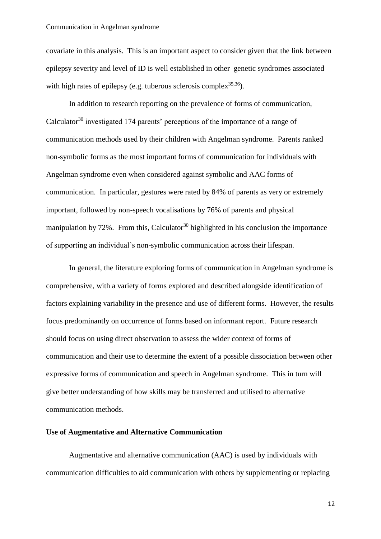covariate in this analysis. This is an important aspect to consider given that the link between epilepsy severity and level of ID is well established in other genetic syndromes associated with high rates of epilepsy (e.g. tuberous sclerosis complex<sup>35,36</sup>).

In addition to research reporting on the prevalence of forms of communication, Calculator $30$  investigated 174 parents' perceptions of the importance of a range of communication methods used by their children with Angelman syndrome. Parents ranked non-symbolic forms as the most important forms of communication for individuals with Angelman syndrome even when considered against symbolic and AAC forms of communication. In particular, gestures were rated by 84% of parents as very or extremely important, followed by non-speech vocalisations by 76% of parents and physical manipulation by  $72\%$ . From this, Calculator<sup>30</sup> highlighted in his conclusion the importance of supporting an individual's non-symbolic communication across their lifespan.

In general, the literature exploring forms of communication in Angelman syndrome is comprehensive, with a variety of forms explored and described alongside identification of factors explaining variability in the presence and use of different forms. However, the results focus predominantly on occurrence of forms based on informant report. Future research should focus on using direct observation to assess the wider context of forms of communication and their use to determine the extent of a possible dissociation between other expressive forms of communication and speech in Angelman syndrome. This in turn will give better understanding of how skills may be transferred and utilised to alternative communication methods.

#### **Use of Augmentative and Alternative Communication**

Augmentative and alternative communication (AAC) is used by individuals with communication difficulties to aid communication with others by supplementing or replacing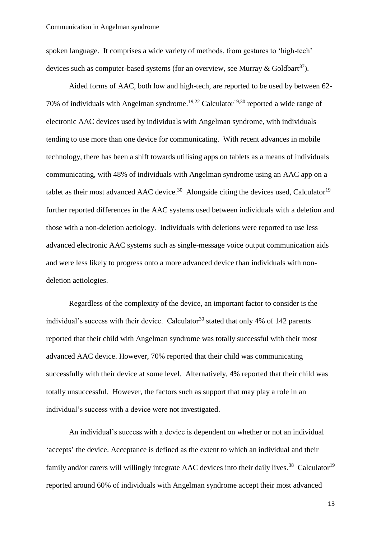spoken language. It comprises a wide variety of methods, from gestures to 'high-tech' devices such as computer-based systems (for an overview, see Murray & Goldbart<sup>37</sup>).

Aided forms of AAC, both low and high-tech, are reported to be used by between 62- 70% of individuals with Angelman syndrome.<sup>19,22</sup> Calculator<sup>19,30</sup> reported a wide range of electronic AAC devices used by individuals with Angelman syndrome, with individuals tending to use more than one device for communicating. With recent advances in mobile technology, there has been a shift towards utilising apps on tablets as a means of individuals communicating, with 48% of individuals with Angelman syndrome using an AAC app on a tablet as their most advanced AAC device.<sup>30</sup> Alongside citing the devices used, Calculator<sup>19</sup> further reported differences in the AAC systems used between individuals with a deletion and those with a non-deletion aetiology. Individuals with deletions were reported to use less advanced electronic AAC systems such as single-message voice output communication aids and were less likely to progress onto a more advanced device than individuals with nondeletion aetiologies.

Regardless of the complexity of the device, an important factor to consider is the individual's success with their device. Calculator<sup>30</sup> stated that only 4% of 142 parents reported that their child with Angelman syndrome was totally successful with their most advanced AAC device. However, 70% reported that their child was communicating successfully with their device at some level. Alternatively, 4% reported that their child was totally unsuccessful. However, the factors such as support that may play a role in an individual's success with a device were not investigated.

An individual's success with a device is dependent on whether or not an individual 'accepts' the device. Acceptance is defined as the extent to which an individual and their family and/or carers will willingly integrate AAC devices into their daily lives.<sup>38</sup> Calculator<sup>19</sup> reported around 60% of individuals with Angelman syndrome accept their most advanced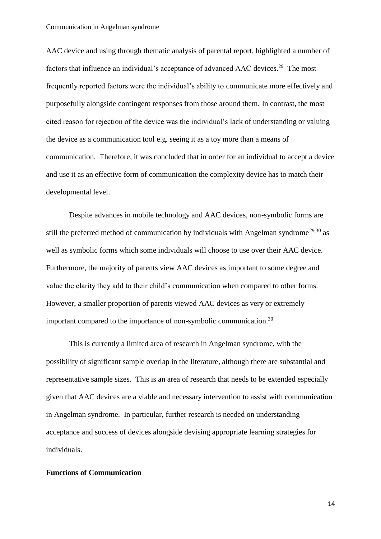AAC device and using through thematic analysis of parental report, highlighted a number of factors that influence an individual's acceptance of advanced AAC devices.<sup>29</sup> The most frequently reported factors were the individual's ability to communicate more effectively and purposefully alongside contingent responses from those around them. In contrast, the most cited reason for rejection of the device was the individual's lack of understanding or valuing the device as a communication tool e.g. seeing it as a toy more than a means of communication. Therefore, it was concluded that in order for an individual to accept a device and use it as an effective form of communication the complexity device has to match their developmental level.

Despite advances in mobile technology and AAC devices, non-symbolic forms are still the preferred method of communication by individuals with Angelman syndrome<sup>29,30</sup> as well as symbolic forms which some individuals will choose to use over their AAC device. Furthermore, the majority of parents view AAC devices as important to some degree and value the clarity they add to their child's communication when compared to other forms. However, a smaller proportion of parents viewed AAC devices as very or extremely important compared to the importance of non-symbolic communication.<sup>30</sup>

This is currently a limited area of research in Angelman syndrome, with the possibility of significant sample overlap in the literature, although there are substantial and representative sample sizes. This is an area of research that needs to be extended especially given that AAC devices are a viable and necessary intervention to assist with communication in Angelman syndrome. In particular, further research is needed on understanding acceptance and success of devices alongside devising appropriate learning strategies for individuals.

#### **Functions of Communication**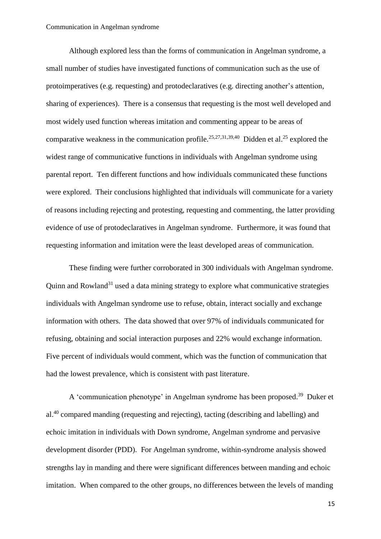Although explored less than the forms of communication in Angelman syndrome, a small number of studies have investigated functions of communication such as the use of protoimperatives (e.g. requesting) and protodeclaratives (e.g. directing another's attention, sharing of experiences). There is a consensus that requesting is the most well developed and most widely used function whereas imitation and commenting appear to be areas of comparative weakness in the communication profile.<sup>25,27,31,39,40</sup> Didden et al.<sup>25</sup> explored the widest range of communicative functions in individuals with Angelman syndrome using parental report. Ten different functions and how individuals communicated these functions were explored. Their conclusions highlighted that individuals will communicate for a variety of reasons including rejecting and protesting, requesting and commenting, the latter providing evidence of use of protodeclaratives in Angelman syndrome. Furthermore, it was found that requesting information and imitation were the least developed areas of communication.

These finding were further corroborated in 300 individuals with Angelman syndrome. Quinn and Rowland<sup>31</sup> used a data mining strategy to explore what communicative strategies individuals with Angelman syndrome use to refuse, obtain, interact socially and exchange information with others. The data showed that over 97% of individuals communicated for refusing, obtaining and social interaction purposes and 22% would exchange information. Five percent of individuals would comment, which was the function of communication that had the lowest prevalence, which is consistent with past literature.

A 'communication phenotype' in Angelman syndrome has been proposed.<sup>39</sup> Duker et al.<sup>40</sup> compared manding (requesting and rejecting), tacting (describing and labelling) and echoic imitation in individuals with Down syndrome, Angelman syndrome and pervasive development disorder (PDD). For Angelman syndrome, within-syndrome analysis showed strengths lay in manding and there were significant differences between manding and echoic imitation. When compared to the other groups, no differences between the levels of manding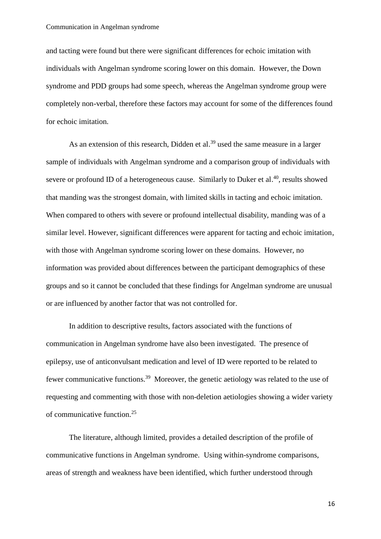and tacting were found but there were significant differences for echoic imitation with individuals with Angelman syndrome scoring lower on this domain. However, the Down syndrome and PDD groups had some speech, whereas the Angelman syndrome group were completely non-verbal, therefore these factors may account for some of the differences found for echoic imitation.

As an extension of this research, Didden et al.<sup>39</sup> used the same measure in a larger sample of individuals with Angelman syndrome and a comparison group of individuals with severe or profound ID of a heterogeneous cause. Similarly to Duker et al.<sup>40</sup>, results showed that manding was the strongest domain, with limited skills in tacting and echoic imitation. When compared to others with severe or profound intellectual disability, manding was of a similar level. However, significant differences were apparent for tacting and echoic imitation, with those with Angelman syndrome scoring lower on these domains. However, no information was provided about differences between the participant demographics of these groups and so it cannot be concluded that these findings for Angelman syndrome are unusual or are influenced by another factor that was not controlled for.

In addition to descriptive results, factors associated with the functions of communication in Angelman syndrome have also been investigated. The presence of epilepsy, use of anticonvulsant medication and level of ID were reported to be related to fewer communicative functions.<sup>39</sup> Moreover, the genetic aetiology was related to the use of requesting and commenting with those with non-deletion aetiologies showing a wider variety of communicative function.<sup>25</sup>

The literature, although limited, provides a detailed description of the profile of communicative functions in Angelman syndrome. Using within-syndrome comparisons, areas of strength and weakness have been identified, which further understood through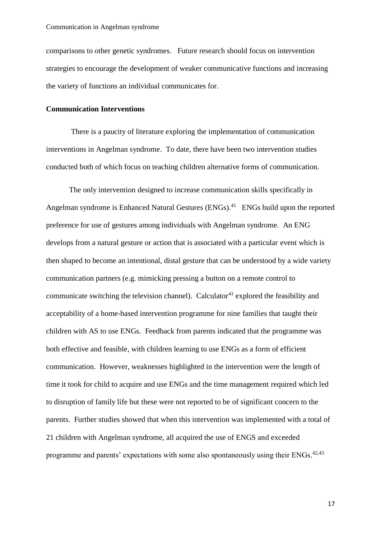comparisons to other genetic syndromes. Future research should focus on intervention strategies to encourage the development of weaker communicative functions and increasing the variety of functions an individual communicates for.

#### **Communication Interventions**

There is a paucity of literature exploring the implementation of communication interventions in Angelman syndrome. To date, there have been two intervention studies conducted both of which focus on teaching children alternative forms of communication.

The only intervention designed to increase communication skills specifically in Angelman syndrome is Enhanced Natural Gestures (ENGs).<sup>41</sup> ENGs build upon the reported preference for use of gestures among individuals with Angelman syndrome. An ENG develops from a natural gesture or action that is associated with a particular event which is then shaped to become an intentional, distal gesture that can be understood by a wide variety communication partners (e.g. mimicking pressing a button on a remote control to communicate switching the television channel). Calculator<sup>41</sup> explored the feasibility and acceptability of a home-based intervention programme for nine families that taught their children with AS to use ENGs. Feedback from parents indicated that the programme was both effective and feasible, with children learning to use ENGs as a form of efficient communication. However, weaknesses highlighted in the intervention were the length of time it took for child to acquire and use ENGs and the time management required which led to disruption of family life but these were not reported to be of significant concern to the parents. Further studies showed that when this intervention was implemented with a total of 21 children with Angelman syndrome, all acquired the use of ENGS and exceeded programme and parents' expectations with some also spontaneously using their  $ENGs$ .  $42,43$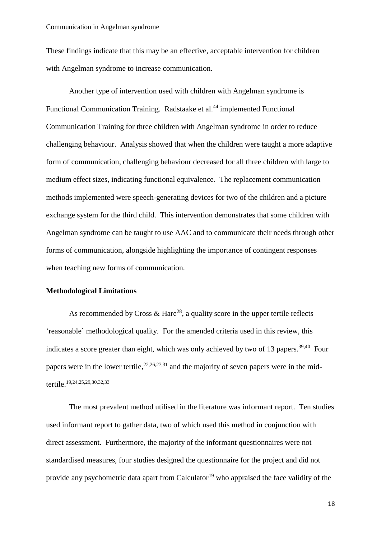These findings indicate that this may be an effective, acceptable intervention for children with Angelman syndrome to increase communication.

Another type of intervention used with children with Angelman syndrome is Functional Communication Training. Radstaake et al.<sup>44</sup> implemented Functional Communication Training for three children with Angelman syndrome in order to reduce challenging behaviour. Analysis showed that when the children were taught a more adaptive form of communication, challenging behaviour decreased for all three children with large to medium effect sizes, indicating functional equivalence. The replacement communication methods implemented were speech-generating devices for two of the children and a picture exchange system for the third child. This intervention demonstrates that some children with Angelman syndrome can be taught to use AAC and to communicate their needs through other forms of communication, alongside highlighting the importance of contingent responses when teaching new forms of communication.

#### **Methodological Limitations**

As recommended by Cross & Hare<sup>28</sup>, a quality score in the upper tertile reflects 'reasonable' methodological quality. For the amended criteria used in this review, this indicates a score greater than eight, which was only achieved by two of 13 papers.<sup>39,40</sup> Four papers were in the lower tertile,  $2^{2,26,27,31}$  and the majority of seven papers were in the midtertile. 19,24,25,29,30,32,33

The most prevalent method utilised in the literature was informant report. Ten studies used informant report to gather data, two of which used this method in conjunction with direct assessment. Furthermore, the majority of the informant questionnaires were not standardised measures, four studies designed the questionnaire for the project and did not provide any psychometric data apart from Calculator<sup>19</sup> who appraised the face validity of the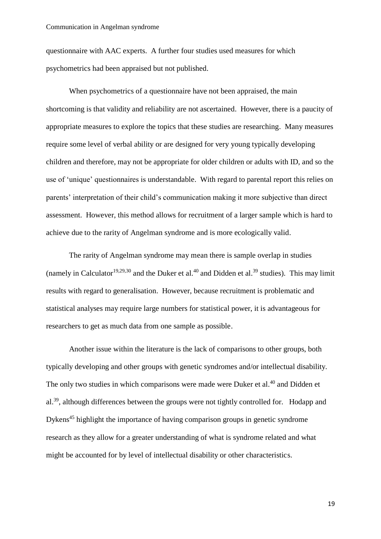questionnaire with AAC experts. A further four studies used measures for which psychometrics had been appraised but not published.

When psychometrics of a questionnaire have not been appraised, the main shortcoming is that validity and reliability are not ascertained. However, there is a paucity of appropriate measures to explore the topics that these studies are researching. Many measures require some level of verbal ability or are designed for very young typically developing children and therefore, may not be appropriate for older children or adults with ID, and so the use of 'unique' questionnaires is understandable. With regard to parental report this relies on parents' interpretation of their child's communication making it more subjective than direct assessment. However, this method allows for recruitment of a larger sample which is hard to achieve due to the rarity of Angelman syndrome and is more ecologically valid.

The rarity of Angelman syndrome may mean there is sample overlap in studies (namely in Calculator<sup>19,29,30</sup> and the Duker et al.<sup>40</sup> and Didden et al.<sup>39</sup> studies). This may limit results with regard to generalisation. However, because recruitment is problematic and statistical analyses may require large numbers for statistical power, it is advantageous for researchers to get as much data from one sample as possible.

Another issue within the literature is the lack of comparisons to other groups, both typically developing and other groups with genetic syndromes and/or intellectual disability. The only two studies in which comparisons were made were Duker et al.<sup>40</sup> and Didden et al.<sup>39</sup>, although differences between the groups were not tightly controlled for. Hodapp and Dykens <sup>45</sup> highlight the importance of having comparison groups in genetic syndrome research as they allow for a greater understanding of what is syndrome related and what might be accounted for by level of intellectual disability or other characteristics.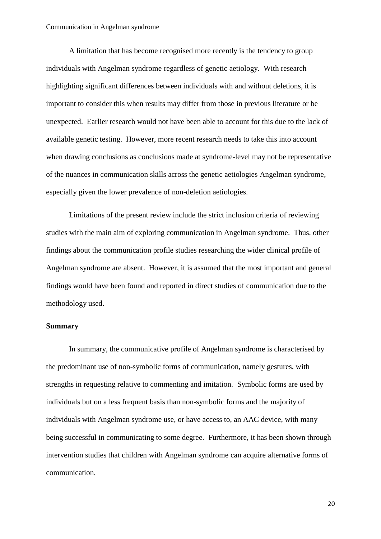A limitation that has become recognised more recently is the tendency to group individuals with Angelman syndrome regardless of genetic aetiology. With research highlighting significant differences between individuals with and without deletions, it is important to consider this when results may differ from those in previous literature or be unexpected. Earlier research would not have been able to account for this due to the lack of available genetic testing. However, more recent research needs to take this into account when drawing conclusions as conclusions made at syndrome-level may not be representative of the nuances in communication skills across the genetic aetiologies Angelman syndrome, especially given the lower prevalence of non-deletion aetiologies.

Limitations of the present review include the strict inclusion criteria of reviewing studies with the main aim of exploring communication in Angelman syndrome. Thus, other findings about the communication profile studies researching the wider clinical profile of Angelman syndrome are absent. However, it is assumed that the most important and general findings would have been found and reported in direct studies of communication due to the methodology used.

#### **Summary**

In summary, the communicative profile of Angelman syndrome is characterised by the predominant use of non-symbolic forms of communication, namely gestures, with strengths in requesting relative to commenting and imitation. Symbolic forms are used by individuals but on a less frequent basis than non-symbolic forms and the majority of individuals with Angelman syndrome use, or have access to, an AAC device, with many being successful in communicating to some degree. Furthermore, it has been shown through intervention studies that children with Angelman syndrome can acquire alternative forms of communication.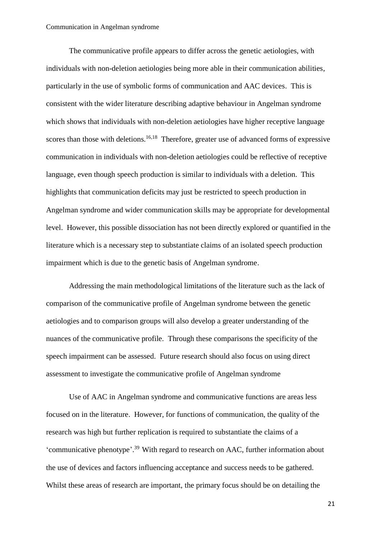The communicative profile appears to differ across the genetic aetiologies, with individuals with non-deletion aetiologies being more able in their communication abilities, particularly in the use of symbolic forms of communication and AAC devices. This is consistent with the wider literature describing adaptive behaviour in Angelman syndrome which shows that individuals with non-deletion aetiologies have higher receptive language scores than those with deletions.<sup>16,18</sup> Therefore, greater use of advanced forms of expressive communication in individuals with non-deletion aetiologies could be reflective of receptive language, even though speech production is similar to individuals with a deletion. This highlights that communication deficits may just be restricted to speech production in Angelman syndrome and wider communication skills may be appropriate for developmental level. However, this possible dissociation has not been directly explored or quantified in the literature which is a necessary step to substantiate claims of an isolated speech production impairment which is due to the genetic basis of Angelman syndrome.

Addressing the main methodological limitations of the literature such as the lack of comparison of the communicative profile of Angelman syndrome between the genetic aetiologies and to comparison groups will also develop a greater understanding of the nuances of the communicative profile. Through these comparisons the specificity of the speech impairment can be assessed. Future research should also focus on using direct assessment to investigate the communicative profile of Angelman syndrome

Use of AAC in Angelman syndrome and communicative functions are areas less focused on in the literature. However, for functions of communication, the quality of the research was high but further replication is required to substantiate the claims of a 'communicative phenotype'.<sup>39</sup> With regard to research on AAC, further information about the use of devices and factors influencing acceptance and success needs to be gathered. Whilst these areas of research are important, the primary focus should be on detailing the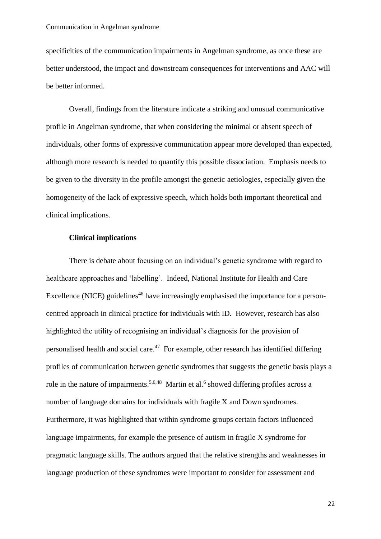specificities of the communication impairments in Angelman syndrome, as once these are better understood, the impact and downstream consequences for interventions and AAC will be better informed.

Overall, findings from the literature indicate a striking and unusual communicative profile in Angelman syndrome, that when considering the minimal or absent speech of individuals, other forms of expressive communication appear more developed than expected, although more research is needed to quantify this possible dissociation. Emphasis needs to be given to the diversity in the profile amongst the genetic aetiologies, especially given the homogeneity of the lack of expressive speech, which holds both important theoretical and clinical implications.

#### **Clinical implications**

There is debate about focusing on an individual's genetic syndrome with regard to healthcare approaches and 'labelling'. Indeed, National Institute for Health and Care Excellence (NICE) guidelines<sup>46</sup> have increasingly emphasised the importance for a personcentred approach in clinical practice for individuals with ID. However, research has also highlighted the utility of recognising an individual's diagnosis for the provision of personalised health and social care.<sup>47</sup> For example, other research has identified differing profiles of communication between genetic syndromes that suggests the genetic basis plays a role in the nature of impairments.<sup>5,6,48</sup> Martin et al.<sup>6</sup> showed differing profiles across a number of language domains for individuals with fragile X and Down syndromes. Furthermore, it was highlighted that within syndrome groups certain factors influenced language impairments, for example the presence of autism in fragile X syndrome for pragmatic language skills. The authors argued that the relative strengths and weaknesses in language production of these syndromes were important to consider for assessment and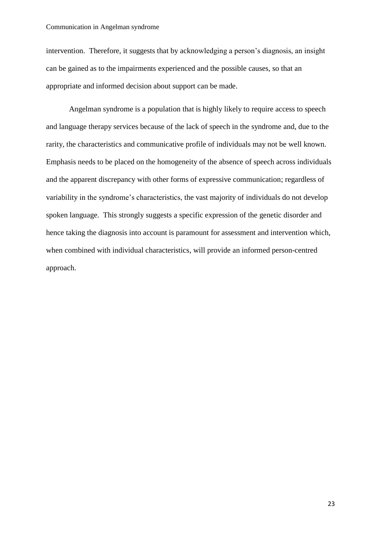intervention. Therefore, it suggests that by acknowledging a person's diagnosis, an insight can be gained as to the impairments experienced and the possible causes, so that an appropriate and informed decision about support can be made.

Angelman syndrome is a population that is highly likely to require access to speech and language therapy services because of the lack of speech in the syndrome and, due to the rarity, the characteristics and communicative profile of individuals may not be well known. Emphasis needs to be placed on the homogeneity of the absence of speech across individuals and the apparent discrepancy with other forms of expressive communication; regardless of variability in the syndrome's characteristics, the vast majority of individuals do not develop spoken language. This strongly suggests a specific expression of the genetic disorder and hence taking the diagnosis into account is paramount for assessment and intervention which, when combined with individual characteristics, will provide an informed person-centred approach.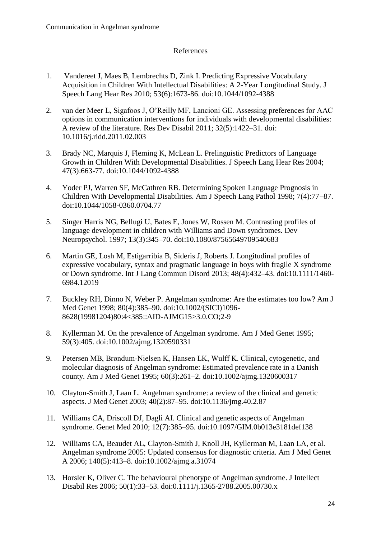#### References

- 1. Vandereet J, Maes B, Lembrechts D, Zink I. Predicting Expressive Vocabulary Acquisition in Children With Intellectual Disabilities: A 2-Year Longitudinal Study. J Speech Lang Hear Res 2010; 53(6):1673-86. doi:10.1044/1092-4388
- 2. van der Meer L, Sigafoos J, O'Reilly MF, Lancioni GE. Assessing preferences for AAC options in communication interventions for individuals with developmental disabilities: A review of the literature. Res Dev Disabil 2011; 32(5):1422–31. doi: 10.1016/j.ridd.2011.02.003
- 3. Brady NC, Marquis J, Fleming K, McLean L. Prelinguistic Predictors of Language Growth in Children With Developmental Disabilities. J Speech Lang Hear Res 2004; 47(3):663-77. doi:10.1044/1092-4388
- 4. Yoder PJ, Warren SF, McCathren RB. Determining Spoken Language Prognosis in Children With Developmental Disabilities. Am J Speech Lang Pathol 1998; 7(4):77–87. doi:10.1044/1058-0360.0704.77
- 5. Singer Harris NG, Bellugi U, Bates E, Jones W, Rossen M. Contrasting profiles of language development in children with Williams and Down syndromes. Dev Neuropsychol. 1997; 13(3):345–70. doi:10.1080/87565649709540683
- 6. Martin GE, Losh M, Estigarribia B, Sideris J, Roberts J. Longitudinal profiles of expressive vocabulary, syntax and pragmatic language in boys with fragile X syndrome or Down syndrome. Int J Lang Commun Disord 2013; 48(4):432–43. doi:10.1111/1460- 6984.12019
- 7. Buckley RH, Dinno N, Weber P. Angelman syndrome: Are the estimates too low? Am J Med Genet 1998; 80(4):385–90. doi:10.1002/(SICI)1096- 8628(19981204)80:4<385::AID-AJMG15>3.0.CO;2-9
- 8. Kyllerman M. On the prevalence of Angelman syndrome. Am J Med Genet 1995; 59(3):405. doi:10.1002/ajmg.1320590331
- 9. Petersen MB, Brøndum-Nielsen K, Hansen LK, Wulff K. Clinical, cytogenetic, and molecular diagnosis of Angelman syndrome: Estimated prevalence rate in a Danish county. Am J Med Genet 1995; 60(3):261–2. doi:10.1002/ajmg.1320600317
- 10. Clayton-Smith J, Laan L. Angelman syndrome: a review of the clinical and genetic aspects. J Med Genet 2003; 40(2):87–95. doi:10.1136/jmg.40.2.87
- 11. Williams CA, Driscoll DJ, Dagli AI. Clinical and genetic aspects of Angelman syndrome. Genet Med 2010; 12(7):385–95. doi:10.1097/GIM.0b013e3181def138
- 12. Williams CA, Beaudet AL, Clayton-Smith J, Knoll JH, Kyllerman M, Laan LA, et al. Angelman syndrome 2005: Updated consensus for diagnostic criteria. Am J Med Genet A 2006; 140(5):413–8. doi:10.1002/ajmg.a.31074
- 13. Horsler K, Oliver C. The behavioural phenotype of Angelman syndrome. J Intellect Disabil Res 2006; 50(1):33–53. doi:0.1111/j.1365-2788.2005.00730.x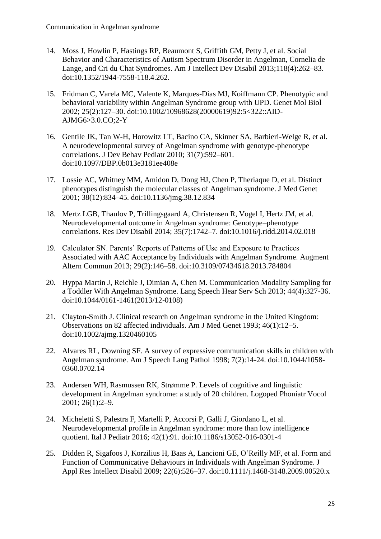- 14. Moss J, Howlin P, Hastings RP, Beaumont S, Griffith GM, Petty J, et al. Social Behavior and Characteristics of Autism Spectrum Disorder in Angelman, Cornelia de Lange, and Cri du Chat Syndromes. Am J Intellect Dev Disabil 2013;118(4):262–83. doi:10.1352/1944-7558-118.4.262.
- 15. Fridman C, Varela MC, Valente K, Marques-Dias MJ, Koiffmann CP. Phenotypic and behavioral variability within Angelman Syndrome group with UPD. Genet Mol Biol 2002; 25(2):127–30. doi:10.1002/10968628(20000619)92:5<322::AID-AJMG6>3.0.CO;2-Y
- 16. Gentile JK, Tan W-H, Horowitz LT, Bacino CA, Skinner SA, Barbieri-Welge R, et al. A neurodevelopmental survey of Angelman syndrome with genotype-phenotype correlations. J Dev Behav Pediatr 2010; 31(7):592–601. doi:10.1097/DBP.0b013e3181ee408e
- 17. Lossie AC, Whitney MM, Amidon D, Dong HJ, Chen P, Theriaque D, et al. Distinct phenotypes distinguish the molecular classes of Angelman syndrome. J Med Genet 2001; 38(12):834–45. doi:10.1136/jmg.38.12.834
- 18. Mertz LGB, Thaulov P, Trillingsgaard A, Christensen R, Vogel I, Hertz JM, et al. Neurodevelopmental outcome in Angelman syndrome: Genotype–phenotype correlations. Res Dev Disabil 2014; 35(7):1742–7. doi:10.1016/j.ridd.2014.02.018
- 19. Calculator SN. Parents' Reports of Patterns of Use and Exposure to Practices Associated with AAC Acceptance by Individuals with Angelman Syndrome. Augment Altern Commun 2013; 29(2):146–58. doi:10.3109/07434618.2013.784804
- 20. Hyppa Martin J, Reichle J, Dimian A, Chen M. Communication Modality Sampling for a Toddler With Angelman Syndrome. Lang Speech Hear Serv Sch 2013; 44(4):327-36. doi:10.1044/0161-1461(2013/12-0108)
- 21. Clayton‐Smith J. Clinical research on Angelman syndrome in the United Kingdom: Observations on 82 affected individuals. Am J Med Genet 1993; 46(1):12–5. doi:10.1002/ajmg.1320460105
- 22. Alvares RL, Downing SF. A survey of expressive communication skills in children with Angelman syndrome. Am J Speech Lang Pathol 1998; 7(2):14-24. doi:10.1044/1058- 0360.0702.14
- 23. Andersen WH, Rasmussen RK, Strømme P. Levels of cognitive and linguistic development in Angelman syndrome: a study of 20 children. Logoped Phoniatr Vocol 2001; 26(1):2–9.
- 24. Micheletti S, Palestra F, Martelli P, Accorsi P, Galli J, Giordano L, et al. Neurodevelopmental profile in Angelman syndrome: more than low intelligence quotient. Ital J Pediatr 2016; 42(1):91. doi:10.1186/s13052-016-0301-4
- 25. Didden R, Sigafoos J, Korzilius H, Baas A, Lancioni GE, O'Reilly MF, et al. Form and Function of Communicative Behaviours in Individuals with Angelman Syndrome. J Appl Res Intellect Disabil 2009; 22(6):526–37. doi:10.1111/j.1468-3148.2009.00520.x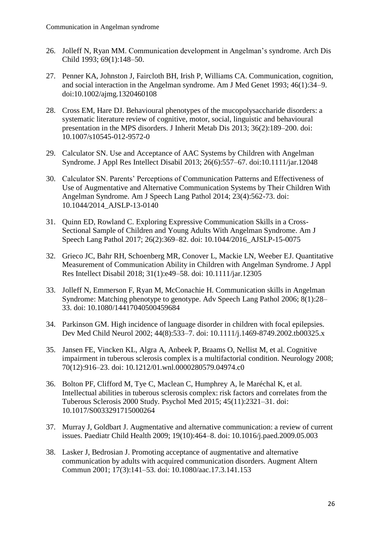- 26. Jolleff N, Ryan MM. Communication development in Angelman's syndrome. Arch Dis Child 1993; 69(1):148–50.
- 27. Penner KA, Johnston J, Faircloth BH, Irish P, Williams CA. Communication, cognition, and social interaction in the Angelman syndrome. Am J Med Genet 1993; 46(1):34–9. doi:10.1002/ajmg.1320460108
- 28. Cross EM, Hare DJ. Behavioural phenotypes of the mucopolysaccharide disorders: a systematic literature review of cognitive, motor, social, linguistic and behavioural presentation in the MPS disorders. J Inherit Metab Dis 2013; 36(2):189–200. doi: 10.1007/s10545-012-9572-0
- 29. Calculator SN. Use and Acceptance of AAC Systems by Children with Angelman Syndrome. J Appl Res Intellect Disabil 2013; 26(6):557–67. doi:10.1111/jar.12048
- 30. Calculator SN. Parents' Perceptions of Communication Patterns and Effectiveness of Use of Augmentative and Alternative Communication Systems by Their Children With Angelman Syndrome. Am J Speech Lang Pathol 2014; 23(4):562-73. doi: 10.1044/2014\_AJSLP-13-0140
- 31. Quinn ED, Rowland C. Exploring Expressive Communication Skills in a Cross-Sectional Sample of Children and Young Adults With Angelman Syndrome. Am J Speech Lang Pathol 2017; 26(2):369–82. doi: 10.1044/2016\_AJSLP-15-0075
- 32. Grieco JC, Bahr RH, Schoenberg MR, Conover L, Mackie LN, Weeber EJ. Quantitative Measurement of Communication Ability in Children with Angelman Syndrome. J Appl Res Intellect Disabil 2018; 31(1):e49–58. doi: 10.1111/jar.12305
- 33. Jolleff N, Emmerson F, Ryan M, McConachie H. Communication skills in Angelman Syndrome: Matching phenotype to genotype. Adv Speech Lang Pathol 2006; 8(1):28– 33. doi: 10.1080/14417040500459684
- 34. Parkinson GM. High incidence of language disorder in children with focal epilepsies. Dev Med Child Neurol 2002; 44(8):533–7. doi: 10.1111/j.1469-8749.2002.tb00325.x
- 35. Jansen FE, Vincken KL, Algra A, Anbeek P, Braams O, Nellist M, et al. Cognitive impairment in tuberous sclerosis complex is a multifactorial condition. Neurology 2008; 70(12):916–23. doi: 10.1212/01.wnl.0000280579.04974.c0
- 36. Bolton PF, Clifford M, Tye C, Maclean C, Humphrey A, le Maréchal K, et al. Intellectual abilities in tuberous sclerosis complex: risk factors and correlates from the Tuberous Sclerosis 2000 Study. Psychol Med 2015; 45(11):2321–31. doi: 10.1017/S0033291715000264
- 37. Murray J, Goldbart J. Augmentative and alternative communication: a review of current issues. Paediatr Child Health 2009; 19(10):464–8. doi: 10.1016/j.paed.2009.05.003
- 38. Lasker J, Bedrosian J. Promoting acceptance of augmentative and alternative communication by adults with acquired communication disorders. Augment Altern Commun 2001; 17(3):141–53. doi: 10.1080/aac.17.3.141.153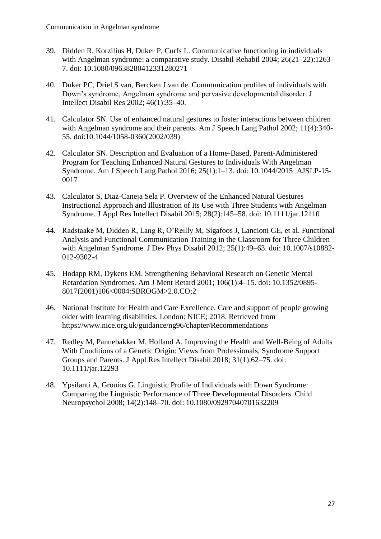- 39. Didden R, Korzilius H, Duker P, Curfs L. Communicative functioning in individuals with Angelman syndrome: a comparative study. Disabil Rehabil 2004; 26(21–22):1263– 7. doi: 10.1080/09638280412331280271
- 40. Duker PC, Driel S van, Bercken J van de. Communication profiles of individuals with Down's syndrome, Angelman syndrome and pervasive developmental disorder. J Intellect Disabil Res 2002; 46(1):35–40.
- 41. Calculator SN. Use of enhanced natural gestures to foster interactions between children with Angelman syndrome and their parents. Am J Speech Lang Pathol 2002; 11(4):340- 55. doi:10.1044/1058-0360(2002/039)
- 42. Calculator SN. Description and Evaluation of a Home-Based, Parent-Administered Program for Teaching Enhanced Natural Gestures to Individuals With Angelman Syndrome. Am J Speech Lang Pathol 2016; 25(1):1–13. doi: 10.1044/2015\_AJSLP-15- 0017
- 43. Calculator S, Diaz-Caneja Sela P. Overview of the Enhanced Natural Gestures Instructional Approach and Illustration of Its Use with Three Students with Angelman Syndrome. J Appl Res Intellect Disabil 2015; 28(2):145–58. doi: 10.1111/jar.12110
- 44. Radstaake M, Didden R, Lang R, O'Reilly M, Sigafoos J, Lancioni GE, et al. Functional Analysis and Functional Communication Training in the Classroom for Three Children with Angelman Syndrome. J Dev Phys Disabil 2012; 25(1):49–63. doi: 10.1007/s10882- 012-9302-4
- 45. Hodapp RM, Dykens EM. Strengthening Behavioral Research on Genetic Mental Retardation Syndromes. Am J Ment Retard 2001; 106(1):4–15. doi: 10.1352/0895- 8017(2001)106<0004:SBROGM>2.0.CO;2
- 46. National Institute for Health and Care Excellence. Care and support of people growing older with learning disabilities. London: NICE; 2018. Retrieved from https://www.nice.org.uk/guidance/ng96/chapter/Recommendations
- 47. Redley M, Pannebakker M, Holland A. Improving the Health and Well-Being of Adults With Conditions of a Genetic Origin: Views from Professionals, Syndrome Support Groups and Parents. J Appl Res Intellect Disabil 2018; 31(1):62–75. doi: 10.1111/jar.12293
- 48. Ypsilanti A, Grouios G. Linguistic Profile of Individuals with Down Syndrome: Comparing the Linguistic Performance of Three Developmental Disorders. Child Neuropsychol 2008; 14(2):148–70. doi: 10.1080/09297040701632209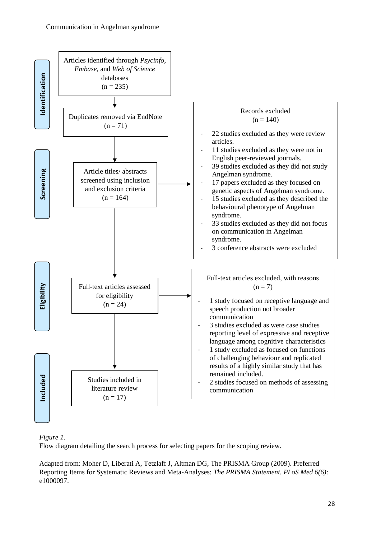

#### *Figure 1.*

Flow diagram detailing the search process for selecting papers for the scoping review.

Adapted from: Moher D, Liberati A, Tetzlaff J, Altman DG, The PRISMA Group (2009). Preferred Reporting Items for Systematic Reviews and Meta-Analyses: *The PRISMA Statement. PLoS Med 6(6):* e1000097.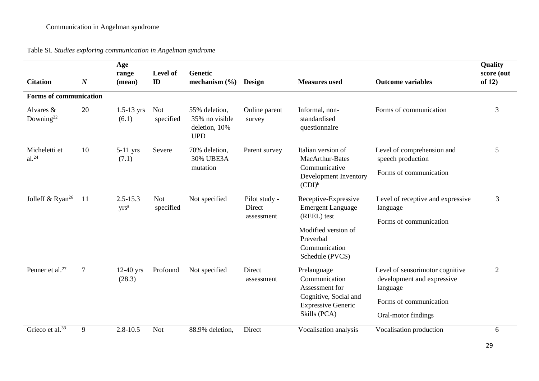| <b>Citation</b>                       | $\boldsymbol{N}$ | Age<br>range<br>(mean)  | Level of<br>$\mathbf{D}$ | <b>Genetic</b><br>mechanism $(\% )$                            | <b>Design</b>                         | <b>Measures</b> used                                                                                                 | <b>Outcome variables</b>                                                  | Quality<br>score (out<br>of $12)$ |
|---------------------------------------|------------------|-------------------------|--------------------------|----------------------------------------------------------------|---------------------------------------|----------------------------------------------------------------------------------------------------------------------|---------------------------------------------------------------------------|-----------------------------------|
| <b>Forms of communication</b>         |                  |                         |                          |                                                                |                                       |                                                                                                                      |                                                                           |                                   |
| Alvares $\&$<br>Downing <sup>22</sup> | 20               | $1.5 - 13$ yrs<br>(6.1) | Not<br>specified         | 55% deletion,<br>35% no visible<br>deletion, 10%<br><b>UPD</b> | Online parent<br>survey               | Informal, non-<br>standardised<br>questionnaire                                                                      | Forms of communication                                                    | 3                                 |
| Micheletti et<br>$al.^{24}$           | 10               | $5-11$ yrs<br>(7.1)     | Severe                   | 70% deletion,<br><b>30% UBE3A</b><br>mutation                  | Parent survey                         | Italian version of<br>MacArthur-Bates<br>Communicative<br>Development Inventory<br>$(CDI)^b$                         | Level of comprehension and<br>speech production                           | 5                                 |
|                                       |                  |                         |                          |                                                                |                                       |                                                                                                                      | Forms of communication                                                    |                                   |
| Jolleff & Ryan <sup>26</sup>          | 11               | $2.5 - 15.3$<br>$yrs^a$ | <b>Not</b><br>specified  | Not specified                                                  | Pilot study -<br>Direct<br>assessment | Receptive-Expressive<br><b>Emergent Language</b>                                                                     | Level of receptive and expressive<br>language                             | 3                                 |
|                                       |                  |                         |                          |                                                                |                                       | (REEL) test                                                                                                          | Forms of communication                                                    |                                   |
|                                       |                  |                         |                          |                                                                |                                       | Modified version of<br>Preverbal                                                                                     |                                                                           |                                   |
|                                       |                  |                         |                          |                                                                |                                       | Communication                                                                                                        |                                                                           |                                   |
|                                       |                  |                         |                          |                                                                |                                       | Schedule (PVCS)                                                                                                      |                                                                           |                                   |
| Penner et al. $27$                    | $\overline{7}$   | $12-40$ yrs<br>(28.3)   | Profound                 | Not specified                                                  | Direct<br>assessment                  | Prelanguage<br>Communication<br>Assessment for<br>Cognitive, Social and<br><b>Expressive Generic</b><br>Skills (PCA) | Level of sensorimotor cognitive<br>development and expressive<br>language | $\overline{2}$                    |
|                                       |                  |                         |                          |                                                                |                                       |                                                                                                                      | Forms of communication                                                    |                                   |
|                                       |                  |                         |                          |                                                                |                                       |                                                                                                                      | Oral-motor findings                                                       |                                   |
| Grieco et al. <sup>33</sup>           | 9                | $2.8 - 10.5$            | <b>Not</b>               | 88.9% deletion,                                                | Direct                                | Vocalisation analysis                                                                                                | Vocalisation production                                                   | 6                                 |

Table SI. *Studies exploring communication in Angelman syndrome*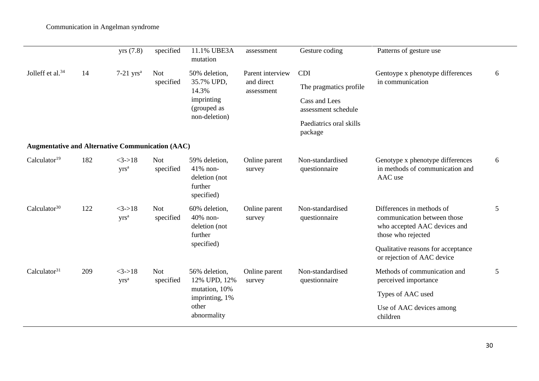|                                                         |     | yrs(7.8)                     | specified               | 11.1% UBE3A<br>mutation                                                                  | assessment                                   | Gesture coding                                                               | Patterns of gesture use                                                                                        |   |
|---------------------------------------------------------|-----|------------------------------|-------------------------|------------------------------------------------------------------------------------------|----------------------------------------------|------------------------------------------------------------------------------|----------------------------------------------------------------------------------------------------------------|---|
| Jolleff et al. <sup>34</sup>                            | 14  | $7-21$ yrs <sup>a</sup>      | <b>Not</b><br>specified | 50% deletion,<br>35.7% UPD,<br>14.3%<br>imprinting<br>(grouped as<br>non-deletion)       | Parent interview<br>and direct<br>assessment | <b>CDI</b><br>The pragmatics profile<br>Cass and Lees<br>assessment schedule | Gentoype x phenotype differences<br>in communication                                                           | 6 |
|                                                         |     |                              |                         |                                                                                          |                                              | Paediatrics oral skills<br>package                                           |                                                                                                                |   |
| <b>Augmentative and Alternative Communication (AAC)</b> |     |                              |                         |                                                                                          |                                              |                                                                              |                                                                                                                |   |
| Calculator <sup>19</sup>                                | 182 | $<3->18$<br>yrs <sup>a</sup> | <b>Not</b><br>specified | 59% deletion,<br>41% non-<br>deletion (not<br>further<br>specified)                      | Online parent<br>survey                      | Non-standardised<br>questionnaire                                            | Genotype x phenotype differences<br>in methods of communication and<br>AAC use                                 | 6 |
| Calculator $30$                                         | 122 | $<3->18$<br>yrs <sup>a</sup> | <b>Not</b><br>specified | 60% deletion,<br>40% non-<br>deletion (not<br>further<br>specified)                      | Online parent<br>survey                      | Non-standardised<br>questionnaire                                            | Differences in methods of<br>communication between those<br>who accepted AAC devices and<br>those who rejected | 5 |
|                                                         |     |                              |                         |                                                                                          |                                              |                                                                              | Qualitative reasons for acceptance<br>or rejection of AAC device                                               |   |
| Calculator <sup>31</sup>                                | 209 | $<3->18$<br>yrs <sup>a</sup> | <b>Not</b><br>specified | 56% deletion,<br>12% UPD, 12%<br>mutation, 10%<br>imprinting, 1%<br>other<br>abnormality | Online parent<br>survey                      | Non-standardised<br>questionnaire                                            | Methods of communication and<br>perceived importance                                                           | 5 |
|                                                         |     |                              |                         |                                                                                          |                                              |                                                                              | Types of AAC used                                                                                              |   |
|                                                         |     |                              |                         |                                                                                          |                                              |                                                                              | Use of AAC devices among<br>children                                                                           |   |

 $\overline{\phantom{0}}$ 

÷.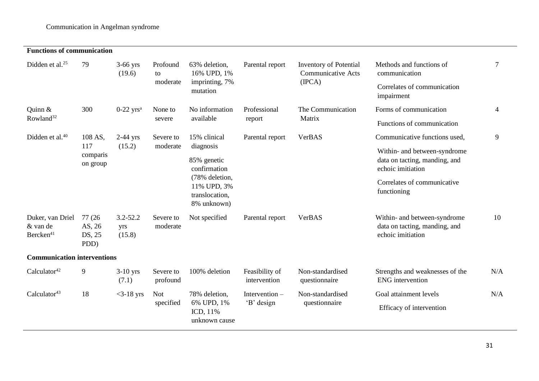#### **Functions of communication**

| Didden et al. $25$                                    | 79                                 | $3-66$ yrs<br>(19.6)          | Profound<br>to<br>moderate | 63% deletion,<br>16% UPD, 1%<br>imprinting, 7%<br>mutation                                                 | Parental report                | <b>Inventory of Potential</b><br><b>Communicative Acts</b> | Methods and functions of<br>communication                                          | $\overline{7}$ |
|-------------------------------------------------------|------------------------------------|-------------------------------|----------------------------|------------------------------------------------------------------------------------------------------------|--------------------------------|------------------------------------------------------------|------------------------------------------------------------------------------------|----------------|
|                                                       |                                    |                               |                            |                                                                                                            |                                | (IPCA)                                                     | Correlates of communication<br>impairment                                          |                |
| Quinn &                                               | 300                                | $0-22$ yrs <sup>a</sup>       | None to<br>severe          | No information<br>available                                                                                | Professional<br>report         | The Communication                                          | Forms of communication                                                             | 4              |
| Rowland <sup>32</sup>                                 |                                    |                               |                            |                                                                                                            |                                | Matrix                                                     | Functions of communication                                                         |                |
| Didden et al. <sup>40</sup>                           | 108 AS,                            | $2-44$ yrs                    | Severe to<br>moderate      | 15% clinical                                                                                               | Parental report                | VerBAS                                                     | Communicative functions used,                                                      | 9              |
|                                                       | 117<br>comparis<br>on group        | (15.2)                        |                            | diagnosis<br>85% genetic<br>confirmation<br>(78% deletion,<br>11% UPD, 3%<br>translocation,<br>8% unknown) |                                |                                                            | Within- and between-syndrome<br>data on tacting, manding, and<br>echoic imitiation |                |
|                                                       |                                    |                               |                            |                                                                                                            |                                |                                                            | Correlates of communicative<br>functioning                                         |                |
| Duker, van Driel<br>& van de<br>Bercken <sup>41</sup> | 77 (26<br>AS, 26<br>DS, 25<br>PDD) | $3.2 - 52.2$<br>yrs<br>(15.8) | Severe to<br>moderate      | Not specified                                                                                              | Parental report                | VerBAS                                                     | Within- and between-syndrome<br>data on tacting, manding, and<br>echoic imitiation | 10             |
| <b>Communication interventions</b>                    |                                    |                               |                            |                                                                                                            |                                |                                                            |                                                                                    |                |
| Calculator <sup>42</sup>                              | 9                                  | $3-10$ yrs<br>(7.1)           | Severe to<br>profound      | 100% deletion                                                                                              | Feasibility of<br>intervention | Non-standardised<br>questionnaire                          | Strengths and weaknesses of the<br><b>ENG</b> intervention                         | N/A            |
| Calculator <sup>43</sup>                              | 18                                 | $<$ 3-18 yrs                  | <b>Not</b><br>specified    | 78% deletion,<br>6% UPD, 1%<br>ICD, 11%<br>unknown cause                                                   | Intervention $-$<br>'B' design | Non-standardised<br>questionnaire                          | Goal attainment levels                                                             | N/A            |
|                                                       |                                    |                               |                            |                                                                                                            |                                |                                                            | Efficacy of intervention                                                           |                |